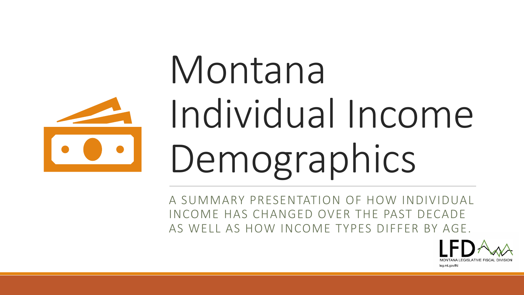

# Montana Individual Income Demographics

A SUMMARY PRESENTATION OF HOW INDIVIDUAL INCOME HAS CHANGED OVER THE PAST DECADE AS WELL AS HOW INCOME TYPES DIFFER BY AGE.

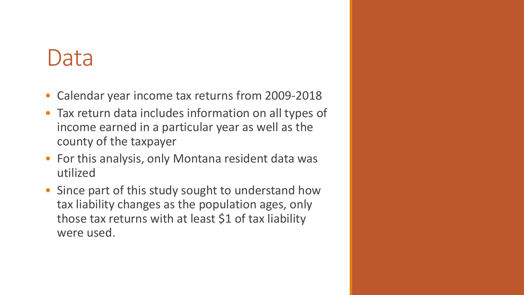## Data

- Calendar year income tax returns from 2009-2018
- Tax return data includes information on all types of income earned in a particular year as well as the county of the taxpayer
- For this analysis, only Montana resident data was utilized
- Since part of this study sought to understand how tax liability changes as the population ages, only those tax returns with at least \$1 of tax liability were used.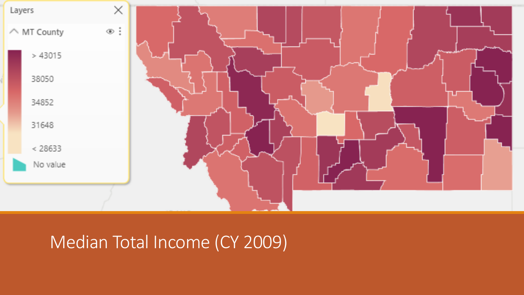

### Median Total Income (CY 2009)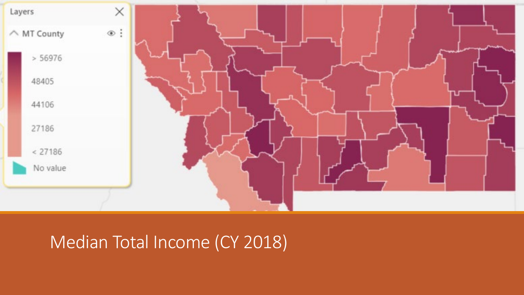

### Median Total Income (CY 2018)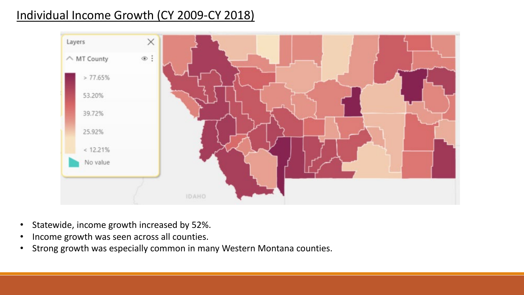#### Individual Income Growth (CY 2009-CY 2018)



- Statewide, income growth increased by 52%.
- Income growth was seen across all counties.
- Strong growth was especially common in many Western Montana counties.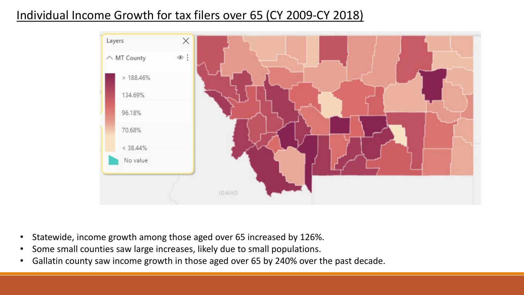#### Individual Income Growth for tax filers over 65 (CY 2009-CY 2018)



- Statewide, income growth among those aged over 65 increased by 126%.
- Some small counties saw large increases, likely due to small populations.
- Gallatin county saw income growth in those aged over 65 by 240% over the past decade.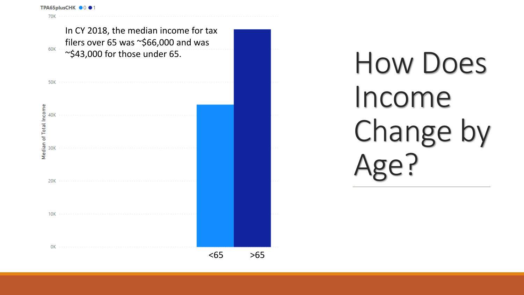

## How Does Income Change by Age?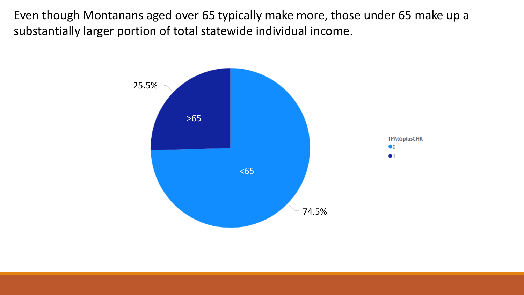Even though Montanans aged over 65 typically make more, those under 65 make up a substantially larger portion of total statewide individual income.

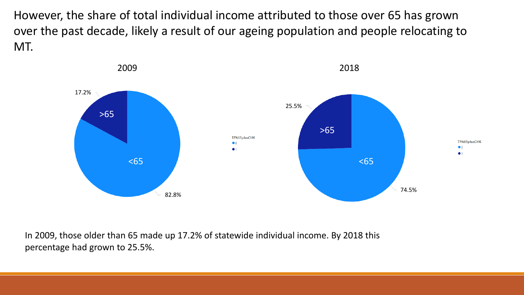However, the share of total individual income attributed to those over 65 has grown over the past decade, likely a result of our ageing population and people relocating to MT.



In 2009, those older than 65 made up 17.2% of statewide individual income. By 2018 this percentage had grown to 25.5%.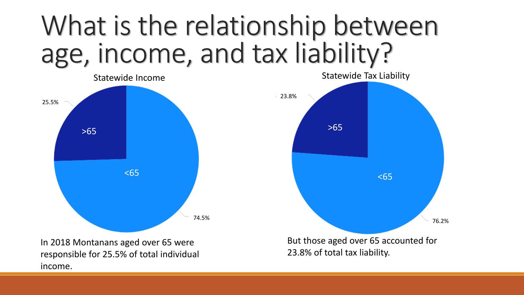## What is the relationship between age, income, and tax liability?



income.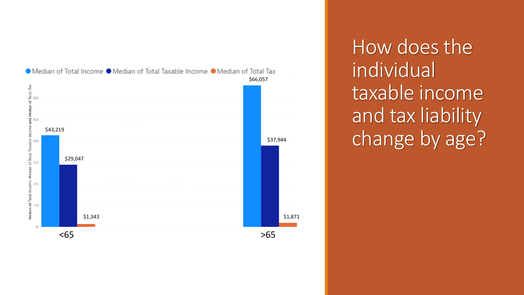

How does the individual taxable income and tax liability change by age?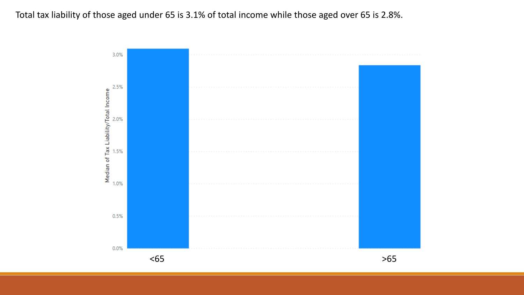#### Total tax liability of those aged under 65 is 3.1% of total income while those aged over 65 is 2.8%.

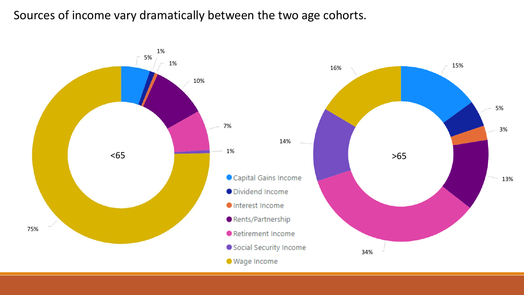#### Sources of income vary dramatically between the two age cohorts.